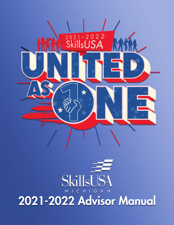

# SkillsUS C H I G A N  $M<sub>1</sub>$ 2021-2022 Advisor Manual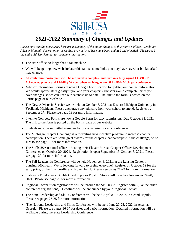

# *2021-2022 Summary of Changes and Updates*

*Please note that the items listed here are a summary of the major changes to this year's SkillsUSA Michigan Advisor Manual. Several other areas that are not listed here have been updated and clarified. Please read the entire Advisor Manual for complete information.* 

- The state office no longer has a fax machine.
- We will be getting new website later this fall, so some links you may have saved or bookmarked may change.
- **All conference participants will be required to complete and turn in a fully signed COVID-19 Acknowledgement and Liability Waiver when arriving at any SkillsUSA Michigan conference.**
- Advisor Information Forms are now a Google Form for you to update your contact information. We would appreciate it greatly if you and your chapter's advisors would complete this if you have changes, so we can keep our database up to date. The link to the form is posted on the Forms page of our website.
- The New Advisor In-Service we be held on October 5, 2021, at Eastern Michigan University in Ypsilanti, Michigan. Please encourage any advisors from your school to attend. Register by September 27. Please see page 19 for more information.
- Intent to Compete Forms are now a Google Form for easy submission. Due October 31, 2021. The link to the form is posted on the Forms page of our website.
- Students must be submitted members before registering for any conference.
- The Michigan Chapter Challenge is our exciting new incentive program to increase chapter participation. There are some great awards for the chapters that participate in the challenge, so be sure to see page 10 for more information.
- The SkillsUSA national office is hosting their Elevate Virtual Chapter Officer Development Conference on October 20, 2021. Registration is open September 13-October 6, 2021. Please see page 20 for more information.
- The Fall Leadership Conference will be held November 8, 2021, at the Lansing Center in Lansing, Michigan. We're looking forward to seeing everyone! Register by October 19 for the early price, or the final deadline on November 1. Please see pages 21-22 for more information.
- Statewide Fundraiser Double Good Popcorn Pop-Up Stores will be active November 24-28, 2021. Please see page 23 for more information.
- Regional Competition registrations will be through the SkillsUSA Register portal (like the other conference registrations). Deadlines will be announced by your Regional Contact.
- The State Leadership and Skills Conference will be held April 8-10, 2022, in Grand Rapids. Please see pages 26-35 for more information.
- The National Leadership and Skills Conference will be held June 20-25, 2022, in Atlanta, Georgia. Please see pages 36-37 for dates and basic information. Detailed information will be available during the State Leadership Conference.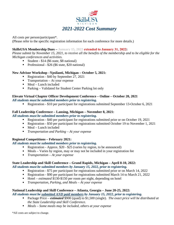

All costs per person/participant\*. (Please refer to the specific registration information for each conference for more details.)

#### **SkillsUSA Membership Dues – January 15, 2022 extended to January 31, 2022:**

*Please submit by November 15, 2021, to receive all the benefits of the membership and to be eligible for the Michigan conferences and activities.* 

- Student  $$14$  (\$6 state, \$8 national)
- Professional \$26 (\$6 state, \$20 national)

#### **New Advisor Workshop –Ypsilanti, Michigan – October 5, 2021:**

- Registration \$40 by September 27, 2021
- **Transportation** At your expense
- $\blacksquare$  Meal Lunch included
- Parking Validated for Student Center Parking lot only

#### **Elevate Virtual Chapter Officer Development Conference – Online – October 20, 2021**

*All students must be submitted members prior to registering.*

Registration - \$10 per participant for registrations submitted September 13-October 6, 2021

#### **Fall Leadership Conference – Lansing, Michigan – November 8, 2021:**

*All students must be submitted members prior to registering.*

- Registration \$40 per participant for registrations submitted prior or on October 19, 2021
- Registration \$50 per participant for registrations submitted October 19 to November 1, 2021
- $\blacksquare$  Meal Lunch included
- *Transportation and Parking At your expense*

#### **Regional Competitions – February 2021:**

#### *All students must be submitted members prior to registering.*

- Registration Approx.  $$20 $25$  (varies by region, to be announced)
- Meals Varies by region, may or may not be included in your registration fee
- *Transportation At your expense*

#### **State Leadership and Skill Conference – Grand Rapids, Michigan – April 8-10, 2022:**

#### *All students must be submitted members by January 15, 2022, prior to registering.*

- Registration \$75 per participant for registrations submitted prior or on March 14, 2022
- Registration \$90 per participant for registrations submitted March 14 to March 21, 2022
- Hotel *estimated* \$130-\$150 per room per night, depending on hotel
- *Transportation, Parking, and Meals At your expense*

#### **National Leadership and Skill Conference – Atlanta, Georgia – June 20-25, 2022:**

*All students must be submitted AND paid members by January 15, 2022, prior to registering.* 

- Package Price *estimated* \$900 (quad) to \$1,500 (single). *The exact price will be distributed at the State Leadership and Skill Conference.*
- *Meals Some meals may be included, others at your expense*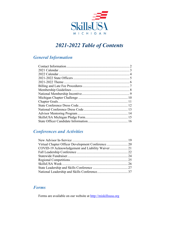

# *2021-2022 Table of Contents*

### *General Information*

### *Conferences and Activities*

### *Forms*

Forms are available on our website at [http://miskillsusa.org](http://miskillsusa.org/)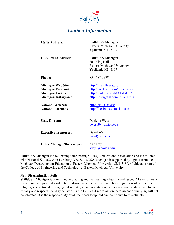

### *Contact Information*

<span id="page-4-0"></span>

| <b>USPS Address:</b>                                                                                                                                                       | SkillsUSA Michigan<br><b>Eastern Michigan University</b><br>Ypsilanti, MI 48197                                                                                                          |
|----------------------------------------------------------------------------------------------------------------------------------------------------------------------------|------------------------------------------------------------------------------------------------------------------------------------------------------------------------------------------|
| <b>UPS/Fed Ex Address:</b>                                                                                                                                                 | SkillsUSA Michigan<br>204 King Hall<br>Eastern Michigan University<br>Ypsilanti, MI 48197                                                                                                |
| <b>Phone:</b>                                                                                                                                                              | 734-487-3888                                                                                                                                                                             |
| <b>Michigan Web Site:</b><br><b>Michigan Facebook:</b><br><b>Michigan Twitter:</b><br><b>Michigan Instagram:</b><br><b>National Web Site:</b><br><b>National Facebook:</b> | http://miskillsusa.org<br>http://facebook.com/miskillsusa<br>http://twitter.com/MISkillsUSA<br>http://instagram.com/miskillsusa<br>http://skillsusa.org<br>http://facebook.com/skillsusa |
| <b>State Director:</b>                                                                                                                                                     | Danielle West<br>dwest30@emich.edu                                                                                                                                                       |
| <b>Executive Treasurer:</b>                                                                                                                                                | David Wait<br>dwait@emich.edu                                                                                                                                                            |
| <b>Office Manager/Bookkeeper:</b>                                                                                                                                          | Ann Day<br>aday7@emich.edu                                                                                                                                                               |

SkillsUSA Michigan is a tax-exempt, non-profit, 501(c)(3) educational association and is affiliated with National SkillsUSA in Leesburg, VA. SkillsUSA Michigan is supported by a grant from the Michigan Department of Education to Eastern Michigan University. SkillsUSA Michigan is part of the College of Engineering and Technology at Eastern Michigan University.

#### **Non-Discrimination Policy**

SkillsUSA Michigan is committed to creating and maintaining a healthy and respectful environment for all our champions at work. Our philosophy is to ensure all members, regardless of race, color, religion, sex, national origin, age, disability, sexual orientation, or socio-economic status, are treated equally and respectfully. Any behavior in the form of discrimination, harassment or bullying will not be tolerated. It is the responsibility of all members to uphold and contribute to this climate.

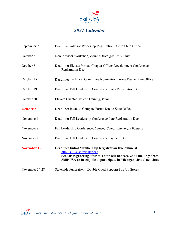

# *2021 Calendar*

| September 27       | <b>Deadline:</b> Advisor Workshop Registration Due to State Office                                                                                                                                                                           |  |
|--------------------|----------------------------------------------------------------------------------------------------------------------------------------------------------------------------------------------------------------------------------------------|--|
| October 5          | New Advisor Workshop, Eastern Michigan University                                                                                                                                                                                            |  |
| October 6          | Deadline: Elevate Virtual Chapter Officer Development Conference<br><b>Registration Due</b>                                                                                                                                                  |  |
| October 15         | <b>Deadline:</b> Technical Committee Nomination Forms Due to State Office                                                                                                                                                                    |  |
| October 19         | <b>Deadline:</b> Fall Leadership Conference Early Registration Due                                                                                                                                                                           |  |
| October 20         | Elevate Chapter Officer Training, Virtual                                                                                                                                                                                                    |  |
| <b>October 31</b>  | <b>Deadline:</b> Intent to Compete Forms Due to State Office                                                                                                                                                                                 |  |
| November 1         | Deadline: Fall Leadership Conference Late Registration Due                                                                                                                                                                                   |  |
| November 8         | Fall Leadership Conference, Lansing Center, Lansing, Michigan                                                                                                                                                                                |  |
| November 10        | Deadline: Fall Leadership Conference Payment Due                                                                                                                                                                                             |  |
| <b>November 15</b> | Deadline: Initial Membership Registration Due online at<br>http://skillsusa-register.org<br>Schools registering after this date will not receive all mailings from<br>SkillsUSA or be eligible to participate in Michigan virtual activities |  |
| November 24-28     | Statewide Fundraiser - Double Good Popcorn Pop-Up Stores                                                                                                                                                                                     |  |

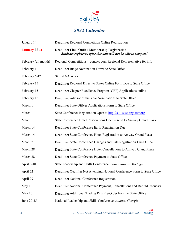

# *2022 Calendar*

| January 14           | <b>Deadline:</b> Regional Competition Online Registration                                                                 |  |
|----------------------|---------------------------------------------------------------------------------------------------------------------------|--|
| January $\pm$ 31     | <b>Deadline: Final Online Membership Registration</b><br>Students registered after this date will not be able to compete! |  |
| February (all month) | Regional Competitions – contact your Regional Representative for info                                                     |  |
| February 1           | <b>Deadline:</b> Judge Nomination Forms to State Office                                                                   |  |
| February 6-12        | SkillsUSA Week                                                                                                            |  |
| February 15          | <b>Deadline:</b> Regional Direct to States Online Form Due to State Office                                                |  |
| February 15          | <b>Deadline:</b> Chapter Excellence Program (CEP) Applications online                                                     |  |
| February 15          | <b>Deadline:</b> Advisor of the Year Nominations to State Office                                                          |  |
| March 1              | <b>Deadline:</b> State Officer Applications Form to State Office                                                          |  |
| March 1              | State Conference Registration Open at http://skillsusa-register.org                                                       |  |
| March 1              | State Conference Hotel Reservations Open – send to Amway Grand Plaza                                                      |  |
| March 14             | <b>Deadline:</b> State Conference Early Registration Due                                                                  |  |
| March 14             | Deadline: State Conference Hotel Registration to Amway Grand Plaza                                                        |  |
| March 21             | <b>Deadline:</b> State Conference Changes and Late Registration Due Online                                                |  |
| March 28             | Deadline: State Conference Hotel Cancellations to Amway Grand Plaza                                                       |  |
| March 28             | <b>Deadline:</b> State Conference Payment to State Office                                                                 |  |
| April 8-10           | State Leadership and Skills Conference, Grand Rapids, Michigan                                                            |  |
| April 22             | <b>Deadline:</b> Qualifier Not Attending National Conference Form to State Office                                         |  |
| April 29             | <b>Deadline:</b> National Conference Registration                                                                         |  |
| May 10               | Deadline: National Conference Payment, Cancellations and Refund Requests                                                  |  |
| May $10$             | <b>Deadline:</b> Additional Trading Pins Pre-Order Form to State Office                                                   |  |
| June 20-25           | National Leadership and Skills Conference, Atlanta, Georgia                                                               |  |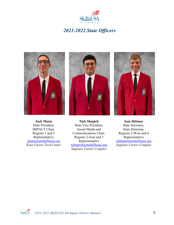

### *2021-2022 State Officers*

<span id="page-7-0"></span>

**Jack Munn** State President, IMPACT Chair, Regions 1 and 5 Representative [jmunn@miskillsusa.org](mailto:jmunn@miskillsusa.org) *Kent Career Tech Center*



**Nick Shepich** State Vice President, Social Media and Communications Chair, Regions 2-East and 3 Representative [nshepich@miskillsusa.org](mailto:nshepich@miskillsusa.org) *Saginaw Career Complex*



**Sam Dittmar** State Secretary, State Historian, Regions 2-West and 4 Representative [sdittmar@miskillsusa.org](mailto:sdittmar@miskillsusa.org) *Saginaw Career Complex*

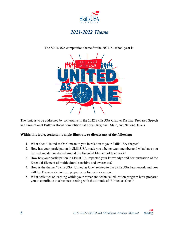

### *2021-2022 Theme*

<span id="page-8-0"></span>The SkillsUSA competition theme for the 2021-21 school year is:

The topic is to be addressed by contestants in the 2022 SkillsUSA Chapter Display, Prepared Speech and Promotional Bulletin Board competitions at Local, Regional, State, and National levels.

#### **Within this topic, contestants might illustrate or discuss any of the following:**

- 1. What does "United as One" mean to you in relation to your SkillsUSA chapter?
- 2. How has your participation in SkillsUSA made you a better team member and what have you learned and demonstrated around the Essential Element of teamwork?
- 3. How has your participation in SkillsUSA impacted your knowledge and demonstration of the Essential Element of multicultural sensitive and awareness?
- 4. How is the theme, "SkillsUSA: United as One" related to the SkillsUSA Framework and how will the Framework, in turn, prepare you for career success.
- 5. What activities or learning within your career and technical education program have prepared you to contribute to a business setting with the attitude of "United as One"?

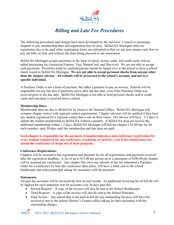

### *Billing and Late Fee Procedures*

<span id="page-9-0"></span>The following procedures and charges have been developed by the Advisors' Council to encourage chapters to pay membership dues and registration fees on time. SkillsUSA Michigan relies on registration fees to be paid when registration forms are submitted so that we can have proper cash flow to pay our bills on time and without late dues being assessed to our association.

SkillsUSA Michigan accepts payments in the form of check, money order, and credit cards with an added processing fee (American Express, Visa, MasterCard, and Discover). We are not able to accept cash payments. Payments made by students/parents should be turned over to the school to have a school check issued to SkillsUSA Michigan. **We are not able to accept personal checks from anyone other than the chapter advisor**. **All refunds will be processed to the school's account, and not to a specific individual.**

A Purchase Order is not a form of payment, but rather a promise to pay an invoice. Schools will be responsible for any late fees if payments arrive after the due date, even if the Purchase Order was received prior to the due date. SkillsUSA Michigan is not able to hold personal checks and/or credit cards until payment is received from a school.

#### **Membership Dues:**

Membership dues are due to SkillsUSA by check to the National Office. SkillsUSA Michigan will compare chapter rosters with regional contest registrations. Chapter advisors will be notified if they have any student registered for a regional contest that is not on their roster. The advisor will have 1-2 days to submit the student membership to SkillsUSA without a penalty. If SkillsUSA does not receive the additional membership within 1-2 days, SkillsUSA Michigan will bill the chapter a \$5.00 late fee for each member, each 30 days until the membership and late dues are paid.

#### **Each chapter is responsible for the payment of membership dues and conference registration for every student registered for any conference, workshop, or activity, even if the student does not attend the conference or drops out of their program.**

#### **Conference Registrations:**

Chapters will be assessed a late registration and payment fee for all registrations and payments received after the registration deadline. A fee of up to \$15.00 per person up to a maximum of \$200.00 per chapter will be assessed per conference. Any chapter that owes any amount or has not submitted a Purchase Order for a conference by time the conference takes place, will have a letter sent to the school bookkeeper and school principal asking for assistance with the payment.

#### **Statements:**

All past due accounts will be invoiced the first of each month. An additional invoicing fee of \$20.00 will be applied for each statement sent for accounts over 30 days past due.

- Second Request  $A$  copy of the invoice will also be sent to the School Bookkeeper.
- Third Request A copy of the invoice will also be sent to the School Principal.
- Final Action Any school that is not paid in full for any outstanding invoices will have the invoice(s) sent to the School District's Finance office asking for their assistance with the outstanding charges.

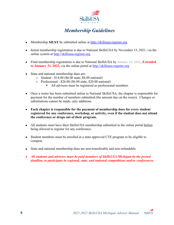

# *Membership Guidelines*

- <span id="page-10-0"></span>• Membership **MUST** be submitted online at [http://skillsusa-register.org](http://skillsusa-register.org/)
- Initial membership registration is due to National SkillsUSA by November 15, 2021, via the online system at [http://skillsusa-register.org](http://skillsusa-register.org/)
- Final membership registration is due to National SkillsUSA by January 15, 2022, **Extended to January 31, 2022,** via the online portal at [http://skillsusa-register.org](http://skillsusa-register.org/)
- State and national membership dues are:
	- o Student \$14.00 (\$6.00 state, \$8.00 national)
	- o Professional \$26.00 (\$6.00 state, \$20.00 national)
		- All advisors must be registered as professional members.
- Once a roster has been submitted online to National SkillsUSA, the chapter is responsible for payment for the number of members submitted (the amount due on the roster). Changes or substitutions cannot be made, only additions.
- **Each chapter is responsible for the payment of membership dues for every student registered for any conference, workshop, or activity, even if the student does not attend the conference or drops out of their program.**
- All students must have their SkillsUSA membership submitted in the online portal before being allowed to register for any conference.
- Student members must be enrolled in a state approved CTE program to be eligible to compete.
- State and national membership dues are non-transferable and non-refundable.
- *All students and advisors must be paid members of SkillsUSA Michigan by the posted deadline, to participate in regional, state, and national competitions and/or conferences.*

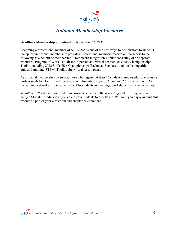

# *National Membership Incentive*

#### <span id="page-11-0"></span>**Deadline - Membership Submitted by November 15, 2021**

Becoming a professional member of SkillsUSA is one of the best ways to demonstrate to students the opportunities that membership provides. Professional members receive online access to the following as a benefit of membership: Framework Integration Toolkit consisting of 45 separate resources, Program of Work Toolkit for in-person and virtual chapter activities, Championships Toolkit including 2022 SkillsUSA Championships Technical Standards and local competition guides, Jump into STEM! Toolkit plus virtual lesson plans.

As a special membership incentive, those who register at least 15 student members plus one or more professionals by Nov. 15 will receive a complimentary copy of *JumpStart 2.0*, a collection of 33 mixers and icebreakers to engage SkillsUSA students in meetings, workshops, and other activities.

*JumpStart 2.0* will help you find immeasurable success in the rewarding and fulfilling venture of being a SkillsUSA advisor as you coach your students to excellence. We hope you enjoy making this resource a part of your classroom and chapter environment.

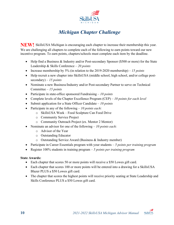

# *Michigan Chapter Challenge*

<span id="page-12-0"></span>**NEW!** SkillsUSA Michigan is encouraging each chapter to increase their membership this year. We are challenging all chapters to complete each of the following to earn points toward our new incentive program. To earn points, chapters/schools must complete each item by the deadline.

- Help find a Business & Industry and/or Post-secondary Sponsor (\$500 or more) for the State Leadership & Skills Conference – *20 points*
- Increase membership by 5% (in relation to the 2019-2020 membership) *– 15 points*
- Help recruit a new chapter into SkillsUSA (middle school, high school, and/or college postsecondary) – *15 points*
- Nominate a new Business/Industry and/or Post-secondary Partner to serve on Technical Committee – *15 points*
- Participate in state-office sponsored Fundraising *10 points*
- Complete levels of the Chapter Excellence Program (CEP) *10 points for each level*
- Submit application for a State Officer Candidate *10 points*
- Participate in any of the following *10 points each:*
	- o SkillsUSA Week Food Sculpture Can Food Drive
	- o Community Service Project
	- o Community Outreach Project (ex. Mentor 2 Mentor)
- Nominate an advisor for one of the following *10 points each:*
	- o Advisor of the Year
	- o Outstanding Educator
	- o Outstanding Service Award (Business & Industry member)
- Participate in Career Essentials program with your students *5 points per training program*
- Register 100% students in training program *5 points per training program*

#### **State Awards:**

- Each chapter that scores 50 or more points will receive a \$50 Lowes gift card.
- Each chapter that scores 100 or more points will be entered into a drawing for a SkillsUSA Blazer PLUS a \$50 Lowes gift card.
- The chapter that scores the highest points will receive priority seating at State Leadership and Skills Conference PLUS a \$50 Lowes gift card.

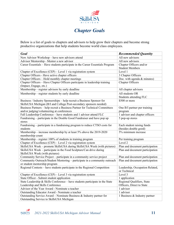

# *Chapter Goals*

<span id="page-13-0"></span>Below is a list of goals to chapters and advisors to help grow their chapters and become strong productive organizations that help students become world class employees.

| Goal                                                                                                        | <b>Recommended Quantity</b>     |
|-------------------------------------------------------------------------------------------------------------|---------------------------------|
| New Advisor Workshop - have new advisors attend                                                             | All new advisors                |
| Advisor Mentorship - Mentor a new advisor                                                                   | All new advisors                |
| Career Essentials - Have students participate in the Career Essentials Program                              | Chapter Officers and/or         |
|                                                                                                             | <b>Student Members</b>          |
| Chapter of Excellence (CEP) - Level 1 via registration system                                               | Level 1                         |
| Chapter Officers - Have active chapter officers                                                             | 3 Chapter Officers              |
| Chapter Officers - Hold monthly chapter meetings                                                            | Doc. with agenda & minutes)     |
| Chapter Officers – Have Chapter Officers participate in leadership training                                 | Chapter Officers                |
| (Impact, Engage, etc.)                                                                                      |                                 |
| Membership - register advisors by early deadline                                                            | All chapter advisors            |
| Membership – register students by early deadline                                                            | All students OR                 |
|                                                                                                             | Students attending FLC          |
| Business / Industry Sponsorships - help recruit a Business Sponsor for                                      | \$500 or more                   |
| SkillsUSA Michigan (B/I and College Post-secondary sponsors needed)                                         |                                 |
| Business Partners - help recruit a Business Partner for Technical Committees                                | One B/I partner per training    |
| and/or judging/volunteering at conferences                                                                  | program                         |
| Fall Leadership Conference - have students and 1 advisor attend FLC                                         | 1 advisor and chapter officers  |
| Fundraising – participate in the Double Good Fundraiser and have pop up                                     | 5 pop-up stores                 |
| stores                                                                                                      |                                 |
| Fundraising – participate in a fundraising program to reduce CTSO costs for                                 | Each student raising funds      |
| students                                                                                                    | (besides double good)           |
| Membership – increase membership by at least 5% above the 2019-2020                                         | 5% minimum increase             |
| membership count                                                                                            |                                 |
| Membership - register 100% of students in training program                                                  | Per training program            |
| Chapter of Excellence (CEP) – Level 2 via registration system                                               | Level 2                         |
| SkillsUSA Week - promote SkillsUSA during SkillsUSA Week (with pictures)                                    | Plan and document participation |
| SkillsUSA Week – participate in the Food Sculpture/Can drive during                                         | Plan and document participation |
| SkillsUSA Week (with pictures)                                                                              |                                 |
| Community Service Project - participate in a community service project                                      | Plan and document participation |
| Community Outreach/Student Mentoring - participate in a community outreach<br>or student mentorship program | Plan and document participation |
| Regional Contests - have students participate in the Regional Competition                                   | Leadership, Occupation Related, |
|                                                                                                             | or Technical                    |
| Chapter of Excellence (CEP) – Level 3 via registration system                                               | Level 3                         |
| State Officer - Submit student application                                                                  | 1 application                   |
| State Leadership & Skills Conference – have students participate in the State                               | Regional Qualifiers, State      |
| Leadership and Skills Conference                                                                            | Officers, Direct to State       |
| Advisor of the Year Award - Nominate a teacher                                                              | 1 advisor                       |
| Outstanding Educator Award - Nominate a teacher                                                             | 1 advisor                       |
| Outstanding Service Award – Nominate Business $\&$ Industry partner for                                     | 1 Business & Industry partner   |
| Outstanding Service to SkillsUSA Michigan                                                                   |                                 |

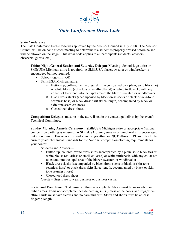

### *State Conference Dress Code*

#### <span id="page-14-0"></span>**State Conference**

The State Conference Dress Code was approved by the Advisor Council in July 2008. The Advisor Council will be on hand at each meeting to determine if a student is properly dressed before he/she will be allowed on the stage. This dress code applies to all participants (students, advisors, observers, guests, etc.).

**Friday Night General Session and Saturday Delegate Meeting:** School-logo attire or SkillsUSA Michigan attire is required. A SkillsUSA blazer, sweater or windbreaker is encouraged but not required.

- School-logo shirt OR
- SkillsUSA Michigan attire:
	- o Button-up, collared, white dress shirt (accompanied by a plain, solid black tie) or white blouse (collarless or small-collared) or white turtleneck, with any collar not to extend into the lapel area of the blazer, sweater, or windbreaker
	- o Black dress slacks (accompanied by black dress socks or black or skin-tone seamless hose) or black dress skirt (knee-length, accompanied by black or skin tone seamless hose)
	- o Closed toed dress shoes

**Competition:** Delegates must be in the attire listed in the contest guidelines by the event's Technical Committee.

**Sunday Morning Awards Ceremony:** SkillsUSA Michigan attire or appropriate National competition clothing is required. A SkillsUSA blazer, sweater or windbreaker is encouraged but not required. Business attire and school-logo attire are **NOT** allowed. Please refer to the current year's Technical Standards for the National competition clothing requirements for your contest.

Students and Advisors -

- Button-up, collared, white dress shirt (accompanied by a plain, solid black tie) or white blouse (collarless or small-collared) or white turtleneck, with any collar not to extend into the lapel area of the blazer, sweater, or windbreaker
- Black dress slacks (accompanied by black dress socks or black or skin-tone seamless hose) or black dress skirt (knee-length, accompanied by black or skin tone seamless hose)
- Closed toed dress shoes

Guests – Guests are to wear business or business casual.

**Social and Free Time:** Neat casual clothing is acceptable. Shoes must be worn when in public areas. Items not acceptable include bathing suits (unless at the pool), and suggestive attire. Shirts must have sleeves and no bare mid drift. Skirts and shorts must be at least fingertip length.

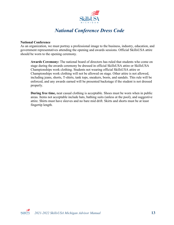

### *National Conference Dress Code*

#### <span id="page-15-0"></span>**National Conference**

As an organization, we must portray a professional image to the business, industry, education, and government representatives attending the opening and awards sessions. Official SkillsUSA attire should be worn to the opening ceremony.

**Awards Ceremony:** The national board of directors has ruled that students who come on stage during the awards ceremony be dressed in official SkillsUSA attire or SkillsUSA Championships work clothing. Students not wearing official SkillsUSA attire or Championships work clothing will not be allowed on stage. Other attire is not allowed, including jeans, shorts, T-shirts, tank tops, sneakers, boots, and sandals. This rule will be enforced, and any awards earned will be presented backstage if the student is not dressed properly.

**During free time,** neat casual clothing is acceptable. Shoes must be worn when in public areas. Items not acceptable include hats, bathing suits (unless at the pool), and suggestive attire. Shirts must have sleeves and no bare mid drift. Skirts and shorts must be at least fingertip length.

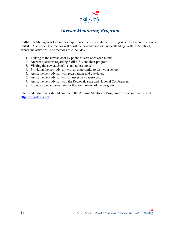

### *Advisor Mentoring Program*

<span id="page-16-0"></span>SkillsUSA Michigan is looking for experienced advisors who are willing serve as a mentor to a new SkillsUSA advisor. The mentor will assist the new advisor with understanding SkillsUSA polices, events and activities. The mentor's role includes:

- 1. Talking to the new advisor by phone at least once each month.
- 2. Answer questions regarding SkillsUSA and their program.
- 3. Visiting the new advisor's school at least once.
- 4. Providing the new advisor with an opportunity to visit your school.
- 5. Assist the new advisor with registrations and due dates.
- 6. Assist the new advisor with all necessary paperwork.
- 7. Assist the new advisor with the Regional, State and National Conferences.
- 8. Provide input and structure for the continuation of the program.

Interested individuals should complete the Advisor Mentoring Program Form on our web site at [http://miskillsusa.org](http://miskillsusa.org/)

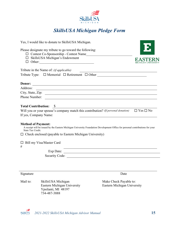

### *SkillsUSA Michigan Pledge Form*

<span id="page-17-0"></span>

| Yes, I would like to donate to SkillsUSA Michigan.                                                                                                                              |  |
|---------------------------------------------------------------------------------------------------------------------------------------------------------------------------------|--|
| Please designate my tribute to go toward the following:                                                                                                                         |  |
| O Contest Co-Sponsorship - Contest Name                                                                                                                                         |  |
| $\Box$ SkillsUSA Michigan's Endowment                                                                                                                                           |  |
| Other:<br>□                                                                                                                                                                     |  |
| Tribute in the Name of: <i>(if applicable)</i>                                                                                                                                  |  |
| <u> 1989 - Johann Stein, fransk politik (f. 1989)</u>                                                                                                                           |  |
|                                                                                                                                                                                 |  |
| Donor:<br><u> 1989 - Andrea Station Barbara, amerikan personal di sebagai personal di sebagai personal di sebagai personal </u>                                                 |  |
| Address:<br><u> 1989 - Johann Stoff, amerikansk politiker (d. 1989)</u>                                                                                                         |  |
|                                                                                                                                                                                 |  |
| Phone Number:                                                                                                                                                                   |  |
| <u> 1989 - Johann Stoff, deutscher Stoffen und der Stoffen und der Stoffen und der Stoffen und der Stoffen und der</u>                                                          |  |
| <b>Total Contribution:</b> \$                                                                                                                                                   |  |
| Will you or your spouse's company match this contribution? (If personal donation) $\Box$ Yes $\Box$ No                                                                          |  |
| If yes, Company Name:                                                                                                                                                           |  |
|                                                                                                                                                                                 |  |
| <b>Method of Payment:</b><br>A receipt will be issued by the Eastern Michigan University Foundation Development Office for personal contributions for your<br>State Tax Credit. |  |
| $\Box$ Check enclosed (payable to Eastern Michigan University)                                                                                                                  |  |
| Bill my Visa/Master Card<br>#<br><u> 1989 - Jan Samuel Barbara, martin da shekara 1980 - An tsara 1980 - An tsara 1980 - An tsara 1980 - An tsara</u>                           |  |
|                                                                                                                                                                                 |  |
|                                                                                                                                                                                 |  |
|                                                                                                                                                                                 |  |
|                                                                                                                                                                                 |  |
|                                                                                                                                                                                 |  |
| Signature<br>Date                                                                                                                                                               |  |

Mail to: SkillsUSA Michigan Make Check Payable to:<br>Eastern Michigan University Eastern Michigan University Eastern Michigan University Eastern Michigan University Ypsilanti, MI 48197 734-487-3888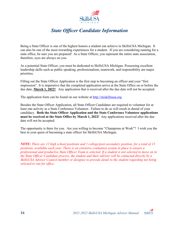

### *State Officer Candidate Information*

<span id="page-18-0"></span>Being a State Officer is one of the highest honors a student can achieve in SkillsUSA Michigan. It can also be one of the most rewarding experiences for a student. If you are considering running for a state office, be sure you are prepared! As a State Officer, you represent the entire state association, therefore; eyes are always on you.

As a potential State Officer, you must be dedicated to SkillsUSA Michigan. Possessing excellent leadership skills such as public speaking, professionalism, teamwork, and responsibility are major priorities.

Filling out the State Officer Application is the first step to becoming an officer and your "first impression". It is imperative that the completed application arrive at the State Office on or before the due date, **March 1, 2022!** Any application that is received after the due date will not be accepted.

The application form can be found on our website at [http://miskillsusa.org](http://miskillsusa.org/)

Besides the State Officer Application, all State Officer Candidates are required to volunteer for at least one activity as a State Conference Volunteer. Failure to do so will result in denial of your candidacy. **Both the State Officer Application and the State Conference Volunteer applications must be received at the State Office by March 1, 2022!** Any applications received after the due date will not be accepted.

The opportunity is there for you. Are you willing to become "Champions at Work"? I wish you the best in your quest of becoming a state officer for SkillsUSA Michigan.

*NOTE: There are 12 high school positions and 1 college/post-secondary position, for a total of 13 positions, available each year. There is an extensive evaluation system in place to ensure a professional and productive State Officer Team is selected. If a student is not selected to move on in the State Officer Candidate process, the student and their advisor will be contacted directly by a SkillsUSA Advisor Council member or designee to provide detail to the student regarding not being selected to run for office.*

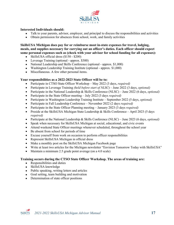

#### **Interested Individuals should:**

- Talk to your parents, advisor, employer, and principal to discuss the responsibilities and activities
- Obtain permission for absences from school, work, and family activities

**SkillsUSA Michigan does pay for or reimburse most in-state expenses for travel, lodging, meals, and supplies necessary for carrying out an officer's duties. Each officer should expect some personal expenses such as (check with your advisor for school funding for all expenses):** 

- SkillsUSA official dress (\$150 \$200)
- Leverage Training (optional approx. \$300)
- National Leadership and Skills Conference (optional approx. \$1,000)
- Washington Leadership Training Institute (optional approx. \$1,000)
- Miscellaneous. A few other personal items.

#### **Your responsibilities as a 2022-2023 State Officer will be to:**

- Participate in CTSO State Officer Workshop May 2022 (3 days, *required)*
- Participate in Leverage Training *(held before start of NLSC*) June 2022 (3 days, *optional)*
- Participate in the National Leadership & Skills Conference (NLSC) June 2022 (6 days, *optional)*
- Participate in the State Officer meeting July 2022 (3 days *required)*
- Participate in Washington Leadership Training Institute September 2022 (5 days, *optional)*
- Participate in Fall Leadership Conference November 2022 (2 days *required)*
- Participate in the State Officer Planning meeting January 2023 (3 days *required)*
- Preside at the SkillsUSA Michigan State Leadership & Skills Conference April 2023 (5 days *required)*
- Participate at the National Leadership & Skills Conference (NLSC) June 2023 (6 days, *optional)*
- Speak when necessary for SkillsUSA Michigan at social, educational, and civic events
- Attend weekend State Officer meetings whenever scheduled, throughout the school year
- Be absent from school for periods of time
- Excuse yourself from work on occasion to perform officer responsibilities
- Represent SkillsUSA Michigan in official dress
- Make a monthly post on the SkillsUSA Michigan Facebook page
- Write at least two articles for the Michigan newsletter "Envision Tomorrow Today with SkillsUSA"
- Maintain a minimum 2.5 grade point average (on a 4.0 scale)

#### **Training occurs during the CTSO State Officer Workshop. The areas of training are:**

- Responsibilities and duties
- SkillsUSA knowledge
- Public speaking, writing letters and articles
- Goal setting, team building and motivation
- Determination of state officer positions

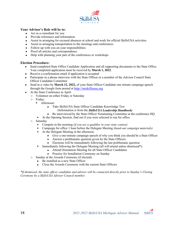

#### **Your Advisor's Role will be to:**

- Act as a consultant for you
- Provide references and information
- Assist in arranging for excused absences at school and work for official SkillsUSA activities
- Assist in arranging transportation to the meetings and conferences
- Follow-up with you on your responsibilities
- Proof all articles and correspondence
- Help with planning your part of the conferences or workshops

#### **Election Procedure:**

- Send completed State Office Candidate Application and all supporting documents to the State Office. Your completed application must be received by **March 1, 2022**.
- Receive a confirmation email if application is accepted
- Participate in a phone interview with the State Officer or a member of the Advisor Council State Officer Candidate Committee
- Send in a video by **March 12, 2022**, of your State Officer Candidate one minute campaign speech through the Google form posted at [http://miskillsusa.org](http://miskillsusa.org/)
- At the State Conference in April:
	- o Volunteer on either Friday or Saturday
	- $\circ$  Friday:
		- Afternoon:
			- Take SkillsUSA State Officer Candidate Knowledge Test
				- (Information is from the *SkillsUSA Leadership Handbook)*
			- Be interviewed by the State Officer Nominating Committee at the conference HO
			- At the Opening Session, find out if you were selected to run for office
	- o Saturday
		- Compete in the morning *(if you are a qualifier in your state contest)*
		- Campaign for office 1 hour before the Delegate Meeting *(hand-out campaign materials)*
		- At the Delegate Meeting in the afternoon:
			- Give a one-minute campaign speech of why you think you should be a State Officer
			- Answer a problematic question given by the State Officers
			- Elections will be immediately following the last problematic question
		- Immediately following the Delegate Meeting (all will attend unless dismissed\*):
			- Attend Orientation Meeting for all State Officer Candidates
			- Practice for Installation Ceremony on Sunday
	- o Sunday at the Awards Ceremony (if elected):
		- Be installed as a new State Officer
		- Close the Awards Ceremony with the current State Officers

*\*If dismissed, the state officer candidate and advisor will be contacted directly prior to Sunday's Closing Ceremony by a SkillsUSA Advisor Council member.*

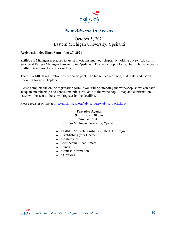

### *New Advisor In-Service*

### October 5, 2021 Eastern Michigan University, Ypsilanti

#### <span id="page-21-0"></span>**Registration deadline: September 27, 2021**

SkillsUSA Michigan is pleased to assist in establishing your chapter by holding a New Advisor In-Service at Eastern Michigan University in Ypsilanti. This workshop is for teachers who have been a SkillsUSA advisor for 2 years or less.

There is a \$40.00 registration fee per participant. The fee will cover lunch, materials, and useful resources for new chapters.

Please complete the online registration form if you will be attending the workshop, so we can have adequate membership and contest materials available at the workshop. A map and confirmation letter will be sent to those who register by the deadline.

Please register online at<http://miskillsusa.org/advisors/newadvisorworkshop/>

#### **Tentative Agenda**

9:30 a.m. - 2:30 p.m. Student Center Eastern Michigan University, Ypsilanti

- SkillsUSA's Relationship with the CTE Program
- Establishing your Chapter
- Conferences
- Membership Recruitment
- Lunch
- Contest Information
- Questions

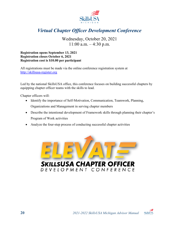

### <span id="page-22-0"></span>*Virtual Chapter Officer Development Conference*

Wednesday, October 20, 2021  $11:00$  a.m.  $-4:30$  p.m.

**Registration opens September 13, 2021 Registration closes October 6, 2021 Registration cost is \$10.00 per participant**

All registrations must be made via the online conference registration system at [http://skillsusa-register.org](http://skillsusa-register.org/)

Led by the national SkillsUSA office, this conference focuses on building successful chapters by equipping chapter officer teams with the skills to lead.

Chapter officers will:

- Identify the importance of Self-Motivation, Communication, Teamwork, Planning, Organizations and Management in serving chapter members
- Describe the intentional development of Framework skills through planning their chapter's Program of Work activities
- Analyze the four-step process of conducting successful chapter activities



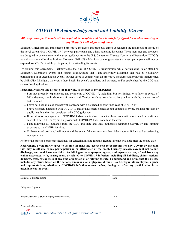

### *COVID-19 Acknowledgement and Liability Waiver*

#### <span id="page-23-0"></span>*All conference participants will be required to complete and turn in this fully signed form when arriving at any SkillsUSA Michigan conference.*

SkillsUSA Michigan has implemented protective measures and protocols aimed at reducing the likelihood of spread of the novel coronavirus ("COVID-19") between participants and others attending its events. These measures and protocols are designed to be consistent with current guidance from the U.S. Centers for Disease Control and Prevention ("CDC"), as well as state and local authorities. However, SkillsUSA Michigan cannot guarantee that event participants will not be exposed to COVID-19 while participating in or attending its events.

By signing this agreement, I acknowledge the risk of COVID-19 transmission while participating in or attending SkillsUSA Michigan's events and further acknowledge that I am knowingly assuming that risk by voluntarily participating in or attending an event. I further agree to comply with all protective measures and protocols implemented by SkillsUSA Michigan, the event's host hotel, the event's suppliers, and partners, and/or established by the CDC and state or local authorities.

#### **I specifically affirm and attest to the following, to the best of my knowledge:**

- I am not presently experiencing any symptoms of COVID-19, including, but not limited to, a fever in excess of 100.4 degrees, cough, shortness of breath or difficulty breathing, sore throat, body aches or chills, or new loss of taste or smell.
- I have not been in close contact with someone with a suspected or confirmed case of COVID-19.
- I have not been diagnosed with COVID-19 and/or have been cleared as non-contagious by my medical provider or public health authorities, consistent with CDC guidance.
- If I (a) develop any symptom of COVID-19, (b) come in close contact with someone with a suspected or confirmed case of COVID-19, or (c) am diagnosed with COVID-19, I will not attend the event.
- I am following all guidance from the CDC and state and local authorities regarding COVID-19 and limiting exposure to the COVID-19 virus.
- If I have tested positive, I will not attend the event if the test was less than 5 days ago, or if I am still experiencing any symptoms.

Refer to the specific conference deadlines for cancellations and refunds. Refunds are not available after the posted date.

**Accordingly, I voluntarily agree to assume all risks and accept sole responsibility for any COVID-19 infection that may result due to my participation in or attendance at the event. I hereby release, covenant not to sue, discharge, and hold harmless SkillsUSA Michigan, its employees, agents, and representatives, of and from any claims associated with, arising from, or related to COVID-19 infection, including all liabilities, claims, actions, damages, costs, or expenses of any kind arising out of or relating thereto. I understand and agree that this release includes any claims based on the actions, omissions, or negligence of SkillsUSA Michigan, its employees, agents, and representatives, whether a COVID-19 infection occurs before, during, or after my participation in or attendance at the event.**

| Delegate's Printed Name                                               | Date |  |
|-----------------------------------------------------------------------|------|--|
| Delegate's Signature                                                  |      |  |
| Parent/Guardian's Signature (required if under 18)                    | Date |  |
| Principal's Signature                                                 | Date |  |
| £.<br><b>SkillsUSA</b><br>2021-2022 SkillsUSA Michigan Advisor Manual |      |  |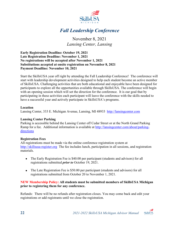

# *Fall Leadership Conference*

### November 8, 2021 *Lansing Center, Lansing*

<span id="page-24-0"></span>**Early Registration Deadline: October 19, 2021 Late Registration Deadline: November 1, 2021 No registrations will be accepted after November 1, 2021 Substitutions accepted at onsite registration on November 8, 2021 Payment Deadline: November 10, 2021**

Start the SkillsUSA year off right by attending the Fall Leadership Conference! The conference will start with leadership development activities designed to help each student become an active member of SkillsUSA. Challenging activities that are both educational and enjoyable have been designed for participants to explore all the opportunities available through SkillsUSA. The conference will begin with an opening session which will set the direction for the conference. It is our goal that by participating in these activities each participant will leave the conference with the skills needed to have a successful year and actively participate in SkillsUSA's programs.

#### **Location**

Lansing Center, 333 E. Michigan Avenue, Lansing, MI 48933 [http://lansingcenter.com](http://lansingcenter.com/)

#### **Lansing Center Parking**

Parking is accessible behind the Lansing Center off Cedar Street or at the North Grand Parking Ramp for a fee. Additional information is available at [http://lansingcenter.com/about/parking](http://lansingcenter.com/about/parking-directions)[directions](http://lansingcenter.com/about/parking-directions)

#### **Registration Fees**

All registrations must be made via the online conference registration system at [http://skillsusa-register.org](http://skillsusa-register.org/) The fee includes lunch, participation in all sessions, and registration materials.

- The Early Registration Fee is \$40.00 per participant (students and advisors) for all registrations submitted *prior to* October 19, 2021.
- The Late Registration Fee is \$50.00 per participant (students and advisors) for all registrations submitted from October 20 to November 1, 2021.

#### **NEW Membership Policy: All students must be submitted members of SkillsUSA Michigan prior to registering them for any conference.**

Refunds: There will be no refunds after registration closes. You may come back and edit your registrations or add registrants until we close the registration.

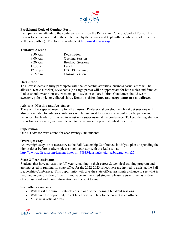

#### **Participant Code of Conduct Form**

Each participant attending the conference must sign the Participant Code of Conduct Form. This form is to be hand-carried to the conference by the advisor and kept with the advisor (not turned in to the state office). The form is available at [http://miskillsusa.org](http://miskillsusa.org/)

#### **Tentative Agenda**

| 8:30 a.m.    | Registration             |
|--------------|--------------------------|
| $9:00$ a.m.  | <b>Opening Session</b>   |
| 9:20 a.m.    | <b>Breakout Sessions</b> |
| $11:30$ a.m. | Lunch                    |
| $12:30$ p.m. | <b>FOCUS Training</b>    |
| $2:15$ p.m.  | <b>Closing Session</b>   |

#### **Dress Code**

To allow students to fully participate with the leadership activities, business casual attire will be allowed. Khaki (Docker) style pants (no cargo pants) will be appropriate for both males and females. Ladies should wear blouses, sweaters, polo-style, or collared shirts. Gentlemen should wear sweaters, polo-style, or collared shirts. **Denim, t-shirts, hats, and cargo pants are not allowed.**

#### **Advisors' Meeting and Assistance**

There will be a special meeting for all advisors. Professional development breakout sessions will also be available for advisors. Advisors will be assigned to sessions to monitor participation and behavior. Each advisor is asked to assist with supervision at the conference. To keep the registration fee as low as possible, we have elected to use advisors in place of outside security.

#### **Supervision**

One (1) advisor must attend for each twenty (20) students.

#### **Overnight Stay**

An overnight stay is not necessary at the Fall Leadership Conference, but if you plan on spending the night (either before or after), please book your stay with the Radisson at [http://www.radisson.com/lansing-hotel-mi-48933/lansing?s\\_cid=se.bng.rad\\_cmp27.](http://www.radisson.com/lansing-hotel-mi-48933/lansing?s_cid=se.bng.rad_cmp27)

#### **State Officer Assistants**

Students that have at least one full year remaining in their career & technical training program and are interested in running for state office for the 2022-2023 school year are invited to assist at the Fall Leadership Conference. This opportunity will give the state officer assistants a chance to see what is involved in being a state officer. If you have an interested student, please register them as a state officer assistant and more information will be sent to you.

State officer assistants:

- Will assist the current state officers in one of the morning breakout sessions.
- Will have the opportunity to eat lunch with and talk to the current state officers.
- Must wear official dress.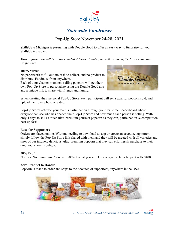

### *Statewide Fundraiser*

### Pop-Up Store November 24-28, 2021

<span id="page-26-0"></span>SkillsUSA Michigan is partnering with Double Good to offer an easy way to fundraise for your SkillsUSA chapter.

*More information will be in the emailed Advisor Updates, as well as during the Fall Leadership Conference.*

#### **100% Virtual**

No paperwork to fill out, no cash to collect, and no product to distribute. Fundraise from anywhere.

Each of your chapter members selling popcorn will get their own Pop-Up Store to personalize using the Double Good app and a unique link to share with friends and family.



When creating their personal Pop-Up Store, each participant will set a goal for popcorn sold, and upload their own photo or video.

Pop-Up Stores activate your team's participation through your real-time Leaderboard where everyone can see who has opened their Pop-Up Store and how much each person is selling. With only 4 days to sell as much ultra-premium gourmet popcorn as they can, participation  $\&$  competition heat up fast!

#### **Easy for Supporters**

Orders are placed online. Without needing to download an app or create an account, supporters simply follow the Pop-Up Store link shared with them and they will be greeted with all varieties and sizes of our insanely delicious, ultra-premium popcorn that they can effortlessly purchase to their (and your) heart's delight.

#### **50% Profit**

No fees. No minimums. You earn 50% of what you sell. On average each participant sells \$400.

#### **Zero Product to Handle**

Popcorn is made to order and ships to the doorstep of supporters, anywhere in the USA.



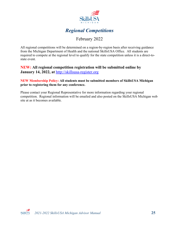

### *Regional Competitions*

### February 2022

<span id="page-27-0"></span>All regional competitions will be determined on a region-by-region basis after receiving guidance from the Michigan Department of Health and the national SkillsUSA Office. All students are required to compete at the regional level to qualify for the state competition unless it is a direct-tostate event.

#### **NEW: All regional competition registration will be submitted online by January 14, 2022, at** [http://skillsusa-register.org](http://skillsusa-register.org/)

#### **NEW Membership Policy: All students must be submitted members of SkillsUSA Michigan prior to registering them for any conference.**

Please contact your Regional Representative for more information regarding your regional competition. Regional information will be emailed and also posted on the SkillsUSA Michigan web site at as it becomes available.

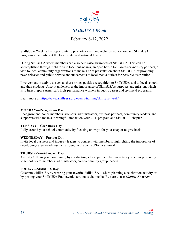

### *SkillsUSA Week*

February 6-12, 2022

<span id="page-28-0"></span>SkillsUSA Week is the opportunity to promote career and technical education, and SkillsUSA programs at activities at the local, state, and national levels.

During SkillsUSA week, members can also help raise awareness of SkillsUSA. This can be accomplished through field trips to local businesses, an open house for parents or industry partners, a visit to local community organizations to make a brief presentation about SkillsUSA or providing news releases and public service announcements to local media outlets for possible distribution.

Involvement in activities such as these brings positive recognition to SkillsUSA, and to local schools and their students. Also, it underscores the importance of SkillsUSA's purposes and mission, which is to help prepare America's high-performance workers in public career and technical programs.

Learn more at<https://www.skillsusa.org/events-training/skillsusa-week/>

#### **MONDAY—Recognition Day**

Recognize and honor members, advisors, administrators, business partners, community leaders, and supporters who make a meaningful impact on your CTE program and SkillsUSA chapter.

#### **TUESDAY—Give Back Day**

Rally around your school community by focusing on ways for your chapter to give back.

#### **WEDNESDAY—Partner Day**

Invite local business and industry leaders to connect with members, highlighting the importance of developing career-readiness skills found in the SkillsUSA Framework.

#### **THURSDAY—Advocacy Day**

Amplify CTE in your community by conducting a local public relations activity, such as presenting to school board members, administrators, and community group leaders.

#### **FRIDAY—SkillsUSA Day**

Celebrate SkillsUSA by wearing your favorite SkillsUSA T-Shirt, planning a celebration activity or by posting your SkillsUSA Framework story on social media. Be sure to use *#SkillsUSAWeek*

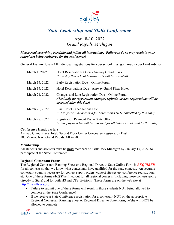

# *State Leadership and Skills Conference*

### April 8-10, 2022 *Grand Rapids, Michigan*

<span id="page-29-0"></span>*Please read everything carefully and follow all instructions. Failure to do so may result in your school not being registered for the conference!*

**General Instructions -** All individual registrations for your school must go through your Lead Advisor.

| March 1, 2022  | Hotel Reservations Open - Amway Grand Plaza<br>(First day that school housing lists will be accepted)                                                       |
|----------------|-------------------------------------------------------------------------------------------------------------------------------------------------------------|
| March 14, 2022 | Early Registration Due – Online Portal                                                                                                                      |
| March 14, 2022 | Hotel Reservations Due - Amway Grand Plaza Hotel                                                                                                            |
| March 21, 2022 | Changes and Late Registration Due – Online Portal<br>Absolutely no registration changes, refunds, or new registrations will be<br>accepted after this date! |
| March 28, 2022 | Final Hotel Cancellations Due<br>(A \$25 fee will be assessed for hotel rooms $NOT$ cancelled by this date)                                                 |
| March 28, 2022 | Registration Payment Due – State Office<br>(A late payment fee will be assessed for all balances not paid by this date)                                     |

#### **Conference Headquarters**

Amway Grand Plaza Hotel, Second Floor Center Concourse Registration Desk 187 Monroe NW, Grand Rapids, MI 49503

#### **Membership**

All students and advisors must be **paid** members of SkillsUSA Michigan by January 15, 2022, to participate at the State Conference.

#### **Regional Contestant Forms**

The Regional Contestant Ranking Sheet or a Regional Direct to State Online Form is *REQUIRED* for all contests so that we know what contestants have qualified for the state contests. An accurate contestant count is necessary for contest supply orders, contest site set-up, conference registration, etc. One of these forms *MUST* be filled out for all regional contests (including those contests going directly to State) and for both HS and CPS divisions. These forms are on the web site at [http://miskillsusa.org](http://miskillsusa.org/)

- Failure to submit one of these forms will result in those students NOT being allowed to compete at the State Conference!
- If we receive a State Conference registration for a contestant NOT on the appropriate Regional Contestant Ranking Sheet or Regional Direct to State Form, he/she will NOT be allowed to compete!

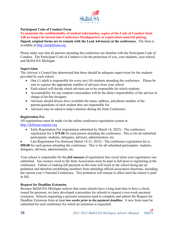

#### **Participant Code of Conduct Form**

**To maintain the confidentiality of student information, copies of the Code of Conduct form will no longer be turned into Conference Headquarters at registration material pickup. Signed, original forms are to remain with the Lead Advisor(s) at the conference.** The form is available at [http://miskillsusa.org](http://miskillsusa.org/)

Please make sure that all persons attending the conference are familiar with the Participant Code of Conduct. The Participant Code of Conduct is for the protection of you, your students, your school, and SkillsUSA Michigan.

#### **Supervision**

The Advisor's Council has determined that there should be adequate supervision for the students provided by each school.

- One (1) adult is responsible for every ten (10) students attending the conference. Please be sure to register the appropriate number of advisors from your school.
- Each school will decide which advisors are to be responsible for which students.
- Accountability for any student's misconduct will be the direct responsibility of the advisor in charge of his/her designee.
- Advisors should always have available the name, address, and phone number of the parents/guardians of each student they are responsible for.
- Advisors may be asked to help/volunteer during the State Conference.

#### **Registration Fee**

All registrations must be made via the online conference registration system at [http://skillsusa-register.org](http://skillsusa-register.org/)

• Early Registration Fee (registration submitted by March 14, 2022) - The conference registration fee is **\$75.00** for each person attending the conference. This is for all submitted participants: students, delegates, advisors, administrators, etc.

Late Registration Fee (between March 14-21, 2022) - The conference registration fee is **\$90.00** for each person attending the conference. This is for all submitted participants: students, delegates, advisors, administrators, etc.

Your school is responsible for the *full amount* of registration fees owed when your registration was submitted. Any monies owed to the State Association must be paid in full prior to registering at the conference. Failure of making full payment at this time will result in the school being put on probation and therefore prohibiting members from attending official association functions, including the current year's National Conference. This probation will remain in effect until the school is paid in full.

#### **Request for Deadline Extension**

Because SkillsUSA Michigan realizes that some schools have a long lead time to have a check issued for payment, we have developed a procedure for schools to request a two-week payment extension. Schools requesting a payment extension need to complete and submit the Request for Deadline Extension form at least *two weeks prior to the payment deadline.* A new form must be submitted for each conference for which an extension is requested.

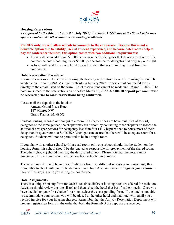

#### **Housing Reservations**

*As approved by the Advisor Council in July 2012, all schools MUST stay at the State Conference approved hotels. No other hotels or commuting is allowed.*

**For 2022 only, we will allow schools to commute to the conference. Because this is not a desirable option due to liability, lack of student experience, and because hotel rooms help to pay for conference facilities, this option comes with two additional requirements:**

- There will be an additional \$70.00 per person fee for delegates that do not stay at one of the conference hotels both nights, or \$35.00 per person fee for delegates that only say one night.
- A form will need to be completed for each student that is commuting to and from the conference.

#### **Hotel Reservation Procedure**

Room reservations are to be made by using the housing registration form. The housing form will be available on the SkillsUSA Michigan web site in January 2022. Please email completed forms directly to the email listed on the form. Hotel reservations cannot be made until March 1, 2022. The hotel must receive the reservations on or before March 18, 2022. **A \$100.00 deposit per room must be received prior to room reservations being confirmed.**

Please mail the deposit to the hotel at:

Amway Grand Plaza Hotel 187 Monroe NW Grand Rapids, MI 49503

Student housing is based on four (4) to a room. If a chapter does not have multiples of four (4) delegates of the same gender, the chapter may fill a room by contacting other chapters or absorb the additional cost (per person) for occupancy less than four (4). Chapters need to house most of their delegation in quad rooms so SkillsUSA Michigan can ensure that there will be adequate room for all delegates. Students will not be permitted to be in a single room.

If you plan with another school to fill a quad room, only one school should list the student on the housing form; this school should be designated as responsible for prepayment of the shared room. The other school(s) should then pay the designated school. Please note that the hotel cannot guarantee that the shared room will be near both schools' hotel rooms.

The same procedure will be in place if advisors from two different schools plan to room together. Remember to check with your intended roommate first. Also, remember to **register your spouse** if they will be staying with you during the conference.

#### **Hotel Assignments**

There is a unique housing form for each hotel since different housing rates are offered for each hotel. Advisors should review the rates listed and then select the hotel that best fits their needs. Once you have decided on your first choice for a hotel, select the corresponding form. If the hotel is not able to accommodate your rooms, you will be placed at the other hotel and that hotel will email you a revised invoice for your housing charges. Remember that the Amway Reservation Department will process registration forms in the order that both the form AND the deposits are received.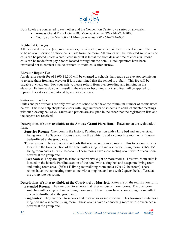

Both hotels are connected to each other and the Convention Center by a series of Skywalks.

- Amway Grand Plaza Hotel 187 Monroe Avenue NW 616-774-2000
- Courtyard by Marriott 11 Monroe Avenue NW 616-242-6000

#### **Incidental Charges**

All incidental charges, (i.e., room services, movies, etc.) must be paid before checking out. There is to be no room service or phone calls made from the room. All phones will be restricted so no outside calls can be placed unless a credit card imprint is left at the front desk at time of check-in. Phone calls can be made from pay phones located throughout the hotel. Hotel operators have been instructed not to connect outside or room-to-room calls after curfew.

#### **Elevator Repair Fee**

An elevator repair fee of \$800-\$1,300 will be charged to schools that require an elevator technician to release them from any elevator if it is determined that the school is at fault. This fee will be payable at check-out. For your safety, please refrain from overcrowding and jumping in the elevator. Failure to do so will result in the elevator becoming stuck and fees will be applied for repairs. Elevators are monitored by security cameras.

#### **Suites and Parlors**

Suites and parlor rooms are only available to schools that have the minimum number of rooms listed below. This is to help chapter advisors with large numbers of students to conduct chapter meetings without blocking hallways. Suites and parlors are assigned in the order that the registration lists and the deposit are received.

**Descriptions of suites available at the Amway Grand Plaza Hotel.** Rates are on the registration form.

- **Superior Rooms:** One room in the historic Pantlind section with a king bed and an oversized living area. The Superior Rooms also offer the ability to add a connecting room with 2 queen beds-offered at the group rate.
- **Tower Suites:** They are open to schools that reserve six or more rooms. This two-room suite is located in the tower section of the hotel with a king bed and a separate living room. (16'x 15' living room and a 16'x 17' bedroom) These rooms have a connecting room with 2 queen bedsoffered at the group rate.
- **Plaza Suites:** They are open to schools that reserve eight or more rooms. This two-room suite is located in the historic Pantlind section of the hotel with a king bed and a separate living room and dining room area. (36'x 14' living room/dining room and a 19'x 19' bedroom) These rooms have two connecting rooms: one with a king bed and one with 2 queen beds-offered at the group rate per room.
- **Descriptions of suites available at the Courtyard by Marriott.** Rates are on the registration form. **Extended Rooms:** They are open to schools that reserve four or more rooms. The one room suite has with a king bed and a living room area. These rooms have a connecting room with 2 queen beds-offered at the group rate.
	- **King Suites:** They are open to schools that reserve six or more rooms. This two-room suite has a king bed and a separate living room. These rooms have a connecting room with 2 queen bedsoffered at the group rate.

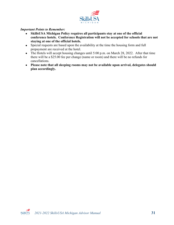

#### *Important Points to Remember:*

- **SkillsUSA Michigan Policy requires all participants stay at one of the official conference hotels. Conference Registration will not be accepted for schools that are not staying at one of the official hotels.**
- Special requests are based upon the availability at the time the housing form and full prepayment are received at the hotel.
- The Hotels will accept housing changes until 5:00 p.m. on March 28, 2022. After that time there will be a \$25.00 fee per change (name or room) and there will be no refunds for cancellations.
- **Please note that all sleeping rooms may not be available upon arrival, delegates should plan accordingly.**

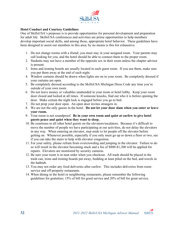

#### **Hotel Conduct and Courtesy Guidelines**

One of SkillsUSA's purposes is to provide opportunities for personal development and preparation for adult life. SkillsUSA conferences and activities are prime opportunities to help members develop important social skills, and among those, appropriate hotel behavior. These guidelines have been designed to assist our members in this area; by no means is this list exhaustive.

- 1. Do not change rooms with a friend; you must stay in your assigned room. Your parents may call looking for you, and the hotel should be able to connect them to the proper room.
- 2. Students may not have a member of the opposite sex in their room unless the chapter advisor is present.
- 3. Irons and ironing boards are usually located in each guest room. If you use them, make sure you put them away at the end of each night.
- 4. Window curtains should be drawn when lights are on in your room. Be completely dressed if your curtains are open.
- 5. Be completely dressed according to the SkillsUSA Michigan Dress Code any time you're outside of your own room.
- 6. Do not leave money or valuables unattended in your room or hotel lobby. Keep your room door closed and locked at all times. If someone knocks, find out who it is before opening the door. Make certain the night lock is engaged before you go to bed.
- 7. Do not prop your door open. An open door invites strangers in.
- 8. We are not the only guests in the hotel. **Do not let your door slam when you enter or leave your room.**
- 9. Your room is not soundproof. **Be in your own room and quiet at curfew to give hotel guests peace and quiet when they want to sleep.**
- 10. Be courteous to all other hotel guests on the elevators/escalators. Because it's difficult to move the number of people we have participating at our activities, do not delay the elevators in any way. When entering an elevator, step aside to let people off the elevator before getting on. Whenever possible, especially if you only must go up or down a floor or two, see if you can take the stairs to help with elevator congestion.
- 11. For your safety, please refrain from overcrowding and jumping in the elevator. Failure to do so will result in the elevator becoming stuck and a fee of \$800-\$1,300 will be applied for repairs. Elevators are monitored by security cameras.
- 12. Be sure your room is in neat order when you checkout. All trash should be placed in the trash can, irons and ironing boards put away, bedding at least piled on the bed, and towels in the bathtub.
- 13. You may not order any food deliveries after curfew. This includes deliveries from room service and off-property restaurants.
- 14. When dining in the hotel or neighboring restaurants, please remember the following guidelines for gratuities; 15% of bill for good service and 20% of bill for great service.

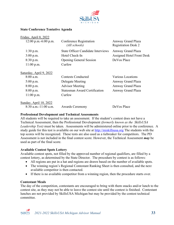

#### **State Conference Tentative Agenda**

| Friday, April 8, 2022                                 |                                                                                                         |                                                                      |
|-------------------------------------------------------|---------------------------------------------------------------------------------------------------------|----------------------------------------------------------------------|
| $12:00$ p.m.-6:00 p.m.                                | Conference Registration<br>(All schools)                                                                | Amway Grand Plaza<br><b>Registration Desk 2</b>                      |
| 1:30 p.m.<br>$3:00$ p.m.<br>8:30 p.m.<br>$11:00$ p.m. | <b>State Officer Candidate Interviews</b><br>Hotel Check-In<br><b>Opening General Session</b><br>Curfew | Amway Grand Plaza<br><b>Assigned Hotel Front Desk</b><br>DeVos Place |
| <u>Saturday, April 9, 2022</u>                        |                                                                                                         |                                                                      |
| 8:00 a.m.                                             | Contests Conducted                                                                                      | Various Locations                                                    |
| 5:00 p.m.                                             | Delegate Meeting                                                                                        | Amway Grand Plaza                                                    |
| 8:00 p.m.                                             | <b>Advisor Meeting</b>                                                                                  | Amway Grand Plaza                                                    |
| 8:00 p.m.                                             | <b>Statesman Award Certification</b>                                                                    | Amway Grand Plaza                                                    |
| $11:00$ p.m.                                          | Curfew                                                                                                  |                                                                      |
| Sunday, April 10, 2022                                |                                                                                                         |                                                                      |
| $8:30$ a.m.-11:00 a.m.                                | <b>Awards Ceremony</b>                                                                                  | DeVos Place                                                          |

#### **Professional Development and Technical Assessments**

All students will be required to take an assessment. If the student's contest does not have a Technical Assessment, then the Professional Development *(formerly known as the SkillsUSA Leadership Test)* must be taken. Assessments will be administered online prior to the conference. A study guide for this test is available on our web site at [http://miskillsusa.org](http://miskillsusa.org/) The students with the top scores will be recognized. These tests are also used as a tiebreaker for competitors. The PD Assessment is not included in the final contest score. However, the Technical Assessment *may* be used as part of the final score.

#### **Available Contest Spots Lottery**

Available contest spots, not filled by the approved number of regional qualifiers, are filled by a contest lottery, as determined by the State Director. The procedure by contest is as follows:

- All regions are put in a hat and regions are drawn based on the number of available spots.
- The winning region's Regional Contestant Ranking Sheet is then consulted, and the next available competitor is then contacted.
- If there is no available competitor from a winning region, then the procedure starts over.

#### **Contestant Meals**

The day of the competition, contestants are encouraged to bring with them snacks and/or lunch to the contest site, as they may not be able to leave the contest site until the contest is finished. Contestant lunches are not provided by SkillsUSA Michigan but may be provided by the contest technical committee.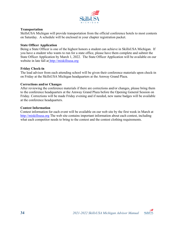

#### **Transportation**

SkillsUSA Michigan will provide transportation from the official conference hotels to most contests on Saturday. A schedule will be enclosed in your chapter registration packet.

#### **State Officer Application**

Being a State Officer is one of the highest honors a student can achieve in SkillsUSA Michigan. If you have a student who wants to run for a state office, please have them complete and submit the State Officer Application by March 1, 2022. The State Officer Application will be available on our website in late fall at [http://miskillsusa.org](http://miskillsusa.org/)

#### **Friday Check-in**

The lead advisor from each attending school will be given their conference materials upon check-in on Friday at the SkillsUSA Michigan headquarters at the Amway Grand Plaza.

#### **Corrections and/or Changes**

After reviewing the conference materials if there are corrections and/or changes, please bring them to the conference headquarters at the Amway Grand Plaza before the Opening General Session on Friday. Corrections will be made Friday evening and if needed, new name badges will be available at the conference headquarters.

#### **Contest Information**

Contest information for each event will be available on our web site by the first week in March at [http://miskillsusa.org](http://miskillsusa.org/) The web site contains important information about each contest, including what each competitor needs to bring to the contest and the contest clothing requirements.

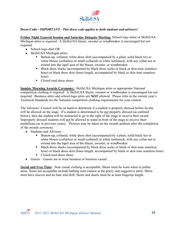

#### **Dress Code -** *IMPORTANT - This dress code applies to both students and advisors!*

**Friday Night General Session and Saturday Delegate Meeting:** School-logo attire or SkillsUSA Michigan attire is required. A SkillsUSA blazer, sweater or windbreaker is encouraged but not required.

- School-logo shirt OR
- SkillsUSA Michigan attire:
	- Button-up, collared, white dress shirt (accompanied by a plain, solid black tie) or white blouse (collarless or small-collared) or white turtleneck, with any collar not to extend into the lapel area of the blazer, sweater, or windbreaker
	- Black dress slacks (accompanied by black dress socks or black or skin-tone seamless hose) or black dress skirt (knee-length, accompanied by black or skin tone seamless hose)
	- Closed toed dress shoes

**Sunday Morning Awards Ceremony:** SkillsUSA Michigan attire or appropriate National competition clothing is required. A SkillsUSA blazer, sweater or windbreaker is encouraged but not required. Business attire and school-logo attire are **NOT** allowed. Please refer to the current year's Technical Standards for the National competition clothing requirements for your contest.

The Advisors' Council will be on hand to determine if a student is properly dressed before he/she will be allowed on the stage. If a student is determined to be not properly dressed (as outlined below), then the student will be instructed to go to the right of the stage to receive their award. Improperly dressed students will not be allowed to stand in front of the stage to receive their medallions (as in previous years). Pictures may be taken on the awards podium after the completion of the awards ceremony.

- Students and Advisors
	- Button-up, collared, white dress shirt (accompanied by a plain, solid black tie) or white blouse (collarless or small-collared) or white turtleneck, with any collar not to extend into the lapel area of the blazer, sweater, or windbreaker
	- Black dress slacks (accompanied by black dress socks or black or skin-tone seamless hose) or black dress skirt (knee-length, accompanied by black or skin tone seamless hose)
	- Closed toed dress shoes
- Guests Guests are to wear business or business casual.

**Social and Free Time:** Neat casual clothing is acceptable. Shoes must be worn when in public areas. Items not acceptable include bathing suits (unless at the pool), and suggestive attire. Shirts must have sleeves and no bare mid drift. Skirts and shorts must be at least fingertip length.

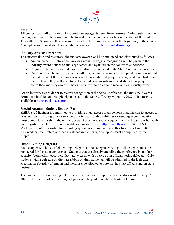

#### **Resume**

All competitors will be required to submit a **one-page, type-written resume**. Online submission is no longer required. The resume will be turned in at the contest sites before the start of the contest. A penalty of 10 points will be assessed for failure to submit a resume at the beginning of the contest. A sample resume worksheet is available on our web site at [http://miskillsusa.org](http://miskillsusa.org/)

#### **Industry Awards Procedure**

To conserve time and resources, the industry awards will be announced and distributed as follows.

- Announcement Before the Awards Ceremony begins, recognition will be given to the industry award donors on the large screen and again when the contest is announced.
- Program Industry award donors will also be recognized in the State Conference program.
- Distribution The industry awards will be given to the winners in a separate room outside of the ballroom. After the winners receive their medal and plaque on stage and have had their picture taken, they will need to go to the industry awards room and show their plaque to claim their industry award. They must show their plaque to receive their industry award.

For an industry award donor to receive recognition at the State Conference, the Industry Awards Form must be filled out completely and sent to the State Office by **March 1, 2022**. This form is available at [http://miskillsusa.org](http://miskillsusa.org/)

#### **Special Accommodations Request Form**

SkillsUSA Michigan is committed to providing equal access to all persons in admission to, access to, or operation of its programs or services. Individuals with disabilities or needing accommodations must complete and submit the online Special Accommodations Request Form to the state office with your registration. This form is available on our web site at [http://miskillsusa.org](http://miskillsusa.org/) SkillsUSA Michigan is not responsible for providing special accommodations if this form is not submitted. Any readers, interpreters or other assistance implements, or supplies must be supplied by the chapter.

#### **Official Voting Delegates**

Each chapter will have official voting delegates at the Delegate Meeting. All delegates must be registered for the state conference. Students that are already attending the conference in another capacity (competitor, observer, alternate, etc.) may also serve as an official voting delegate. Only students with a delegate or alternate ribbon on their name tag will be admitted to the Delegate Meeting on Saturday afternoon and therefore, be allowed to vote for the state officers and on state business.

The number of official voting delegates is based on your chapter's membership as of January 15, 2022. The chart of official voting delegates will be posted on the web site in February.

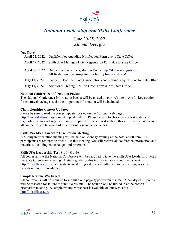

# <span id="page-39-0"></span>*National Leadership and Skills Conference*

### June 20-25, 2022 *Atlanta, Georgia*

### **Due Dates April 22, 2022** Qualifier Not Attending Notification Form due to State Office **April 29, 2022** SkillsUSA Michigan Hotel Registration Form due to State Office **April 29, 2022** Online Conference Registration Due at [http://skillsusa-register.org](http://skillsusa-register.org/) **All fields must be completed including home address! May 10, 2022** Payment Deadline, Final Cancellations and Refund Requests due to State Office **May 10, 2022** Additional Trading Pins Pre-Order Form due to State Office

#### **National Conference Information Packet**

The National Conference Information Packet will be posted on our web site in April. Registration forms, travel packages and other important information will be included.

#### **Championships Contest Updates**

Please be sure to read the contest updates posted on the National web page at <http://www.skillsusa.org/compete/updates.shtml>Please be sure to check the contest updates regularly. Your student(s) will not be prepared for the contest without this information. We want all competitors to be aware of this information and any changes!

#### **SkillsUSA Michigan State Orientation Meeting**

A Michigan orientation meeting will be held on Monday evening at the hotel at 7:00 pm. All participants are required to attend. At this meeting, you will receive all conference information and materials, including name badges and programs.

#### **SkillsUSA Leadership Test Study Guide**

All contestants at the National Conference will be required to take the SkillsUSA Leadership Test at the State Orientation Meeting. A study guide for this test is available on our web site at [http://miskillsusa.org](http://miskillsusa.org/) all contestants must bring a #2 pencil with them to the meeting as extra pencils will not be available.

#### **Sample Resume Worksheet**

All contestants will be required to submit a one-page, type-written resume. A penalty of 10 points will be assessed for failure to submit a resume. The resume will be turned in at the contest orientation meeting. A sample resume worksheet is available on our web site at [http://miskillsusa.org](http://miskillsusa.org/)